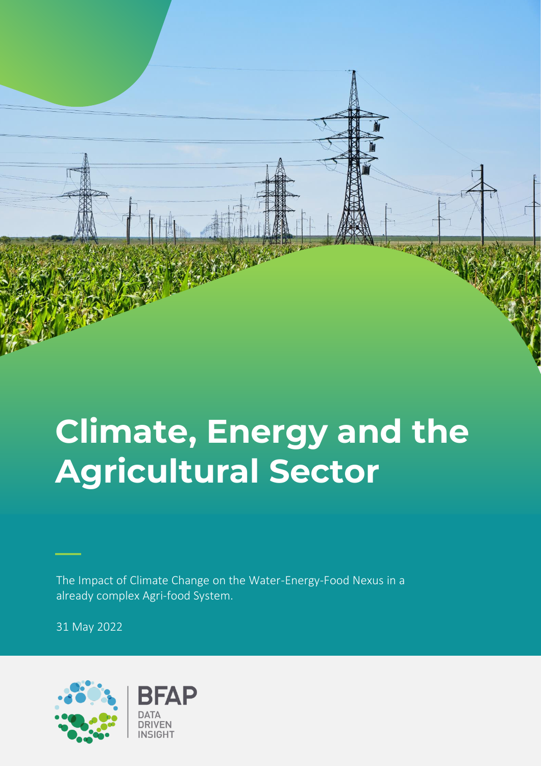

# **Climate, Energy and the Agricultural Sector**

The Impact of Climate Change on the Water-Energy-Food Nexus in a already complex Agri-food System.

31 May 2022

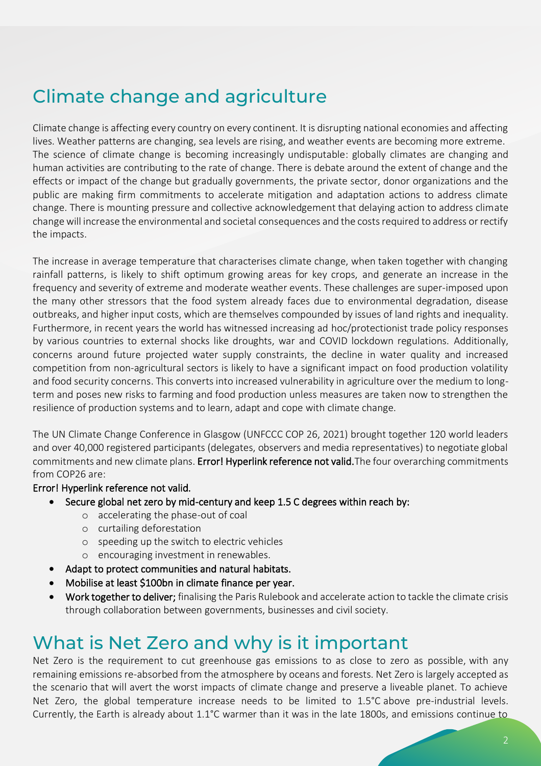## Climate change and agriculture

Climate change is affecting every country on every continent. It is disrupting national economies and affecting lives. Weather patterns are changing, sea levels are rising, and weather events are becoming more extreme. The science of climate change is becoming increasingly undisputable: globally climates are changing and human activities are contributing to the rate of change. There is debate around the extent of change and the effects or impact of the change but gradually governments, the private sector, donor organizations and the public are making firm commitments to accelerate mitigation and adaptation actions to address climate change. There is mounting pressure and collective acknowledgement that delaying action to address climate change will increase the environmental and societal consequences and the costs required to address or rectify the impacts.

The increase in average temperature that characterises climate change, when taken together with changing rainfall patterns, is likely to shift optimum growing areas for key crops, and generate an increase in the frequency and severity of extreme and moderate weather events. These challenges are super-imposed upon the many other stressors that the food system already faces due to environmental degradation, disease outbreaks, and higher input costs, which are themselves compounded by issues of land rights and inequality. Furthermore, in recent years the world has witnessed increasing ad hoc/protectionist trade policy responses by various countries to external shocks like droughts, war and COVID lockdown regulations. Additionally, concerns around future projected water supply constraints, the decline in water quality and increased competition from non-agricultural sectors is likely to have a significant impact on food production volatility and food security concerns. This converts into increased vulnerability in agriculture over the medium to longterm and poses new risks to farming and food production unless measures are taken now to strengthen the resilience of production systems and to learn, adapt and cope with climate change.

The UN Climate Change Conference in Glasgow (UNFCCC COP 26, 2021) brought together 120 world leaders and over 40,000 registered participants (delegates, observers and media representatives) to negotiate global commitments and new climate plans. Error! Hyperlink reference not valid. The four overarching commitments from COP26 are:

#### Error! Hyperlink reference not valid.

- Secure global net zero by mid-century and keep 1.5 C degrees within reach by:
	- o accelerating the phase-out of coal
	- o curtailing deforestation
	- o speeding up the switch to electric vehicles
	- o encouraging investment in renewables.
- Adapt to protect communities and natural habitats.
- Mobilise at least \$100bn in climate finance per year.
- Work together to deliver; finalising the Paris Rulebook and accelerate action to tackle the climate crisis through collaboration between governments, businesses and civil society.

### What is Net Zero and why is it important

Net Zero is the requirement to cut greenhouse gas emissions to as close to zero as possible, with any remaining emissions re-absorbed from the atmosphere by oceans and forests. Net Zero is largely accepted as the scenario that will avert the worst impacts of climate change and preserve a liveable planet. To achieve Net Zero, the global temperature increase needs to be limited to 1.5°C above pre-industrial levels. Currently, the Earth is already about 1.1°C warmer than it was in the late 1800s, and emissions continue to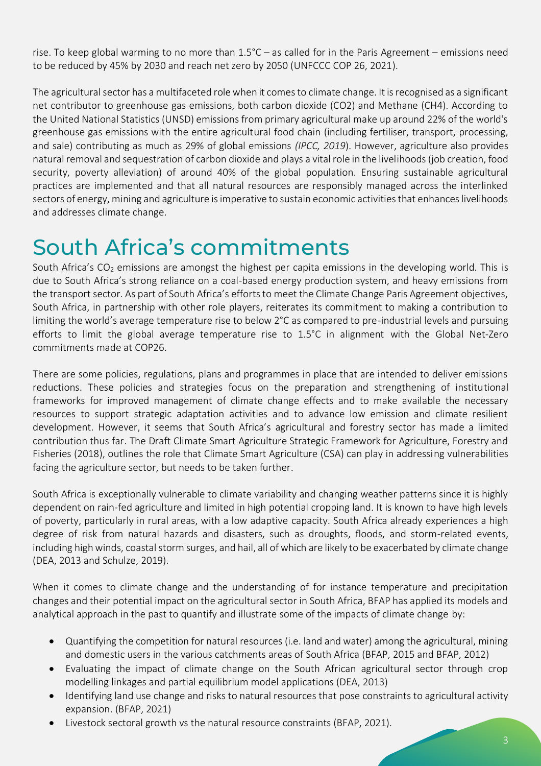rise. To keep global warming to no more than 1.5°C – as called for in the [Paris Agreement](https://www.un.org/en/climatechange/paris-agreement) – emissions need to be reduced by 45% by 2030 and reach net zero by 2050 (UNFCCC COP 26, 2021).

The agricultural sector has a multifaceted role when it comes to climate change. It is recognised as a significant net contributor to greenhouse gas emissions, both carbon dioxide (CO2) and Methane (CH4). According to the United National Statistics (UNSD) emissions from primary agricultural make up around 22% of the world's greenhouse gas emissions with the entire agricultural food chain (including fertiliser, transport, processing, and sale) contributing as much as 29% of global emissions *(IPCC, 2019*). However, agriculture also provides natural removal and sequestration of carbon dioxide and plays a vital role in the livelihoods (job creation, food security, poverty alleviation) of around 40% of the global population. Ensuring sustainable agricultural practices are implemented and that all natural resources are responsibly managed across the interlinked sectors of energy, mining and agriculture is imperative to sustain economic activities that enhances livelihoods and addresses climate change.

## South Africa's commitments

South Africa's CO<sub>2</sub> emissions are amongst the highest per capita emissions in the developing world. This is due to South Africa's strong reliance on a coal-based energy production system, and heavy emissions from the transport sector. As part of South Africa's efforts to meet the Climate Change Paris Agreement objectives, South Africa, in partnership with other role players, reiterates its commitment to making a contribution to limiting the world's average temperature rise to below 2°C as compared to pre-industrial levels and pursuing efforts to limit the global average temperature rise to 1.5°C in alignment with the Global Net-Zero commitments made at COP26.

There are some policies, regulations, plans and programmes in place that are intended to deliver emissions reductions. These policies and strategies focus on the preparation and strengthening of institutional frameworks for improved management of climate change effects and to make available the necessary resources to support strategic adaptation activities and to advance low emission and climate resilient development. However, it seems that South Africa's agricultural and forestry sector has made a limited contribution thus far. The Draft Climate Smart Agriculture Strategic Framework for Agriculture, Forestry and Fisheries (2018), outlines the role that Climate Smart Agriculture (CSA) can play in addressing vulnerabilities facing the agriculture sector, but needs to be taken further.

South Africa is exceptionally vulnerable to climate variability and changing weather patterns since it is highly dependent on rain-fed agriculture and limited in high potential cropping land. It is known to have high levels of poverty, particularly in rural areas, with a low adaptive capacity. South Africa already experiences a high degree of risk from natural hazards and disasters, such as droughts, floods, and storm-related events, including high winds, coastal storm surges, and hail, all of which are likely to be exacerbated by climate change (DEA, 2013 and Schulze, 2019).

When it comes to climate change and the understanding of for instance temperature and precipitation changes and their potential impact on the agricultural sector in South Africa, BFAP has applied its models and analytical approach in the past to quantify and illustrate some of the impacts of climate change by:

- Quantifying the competition for natural resources (i.e. land and water) among the agricultural, mining and domestic users in the various catchments areas of South Africa (BFAP, 2015 and BFAP, 2012)
- Evaluating the impact of climate change on the South African agricultural sector through crop modelling linkages and partial equilibrium model applications (DEA, 2013)
- Identifying land use change and risks to natural resources that pose constraints to agricultural activity expansion. (BFAP, 2021)
- Livestock sectoral growth vs the natural resource constraints (BFAP, 2021).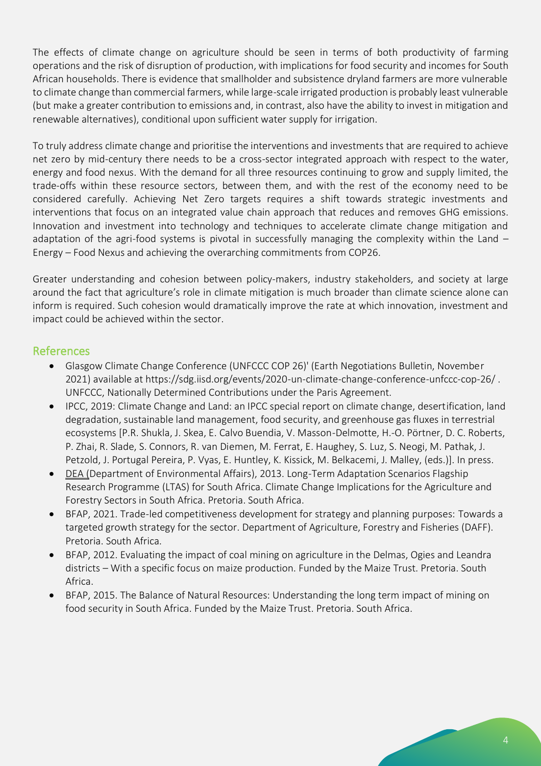The effects of climate change on agriculture should be seen in terms of both productivity of farming operations and the risk of disruption of production, with implications for food security and incomes for South African households. There is evidence that smallholder and subsistence dryland farmers are more vulnerable to climate change than commercial farmers, while large-scale irrigated production is probably least vulnerable (but make a greater contribution to emissions and, in contrast, also have the ability to invest in mitigation and renewable alternatives), conditional upon sufficient water supply for irrigation.

To truly address climate change and prioritise the interventions and investments that are required to achieve net zero by mid-century there needs to be a cross-sector integrated approach with respect to the water, energy and food nexus. With the demand for all three resources continuing to grow and supply limited, the trade-offs within these resource sectors, between them, and with the rest of the economy need to be considered carefully. Achieving Net Zero targets requires a shift towards strategic investments and interventions that focus on an integrated value chain approach that reduces and removes GHG emissions. Innovation and investment into technology and techniques to accelerate climate change mitigation and adaptation of the agri-food systems is pivotal in successfully managing the complexity within the Land -Energy – Food Nexus and achieving the overarching commitments from COP26.

Greater understanding and cohesion between policy-makers, industry stakeholders, and society at large around the fact that agriculture's role in climate mitigation is much broader than climate science alone can inform is required. Such cohesion would dramatically improve the rate at which innovation, investment and impact could be achieved within the sector.

### References

- Glasgow Climate Change Conference (UNFCCC COP 26)' (Earth Negotiations Bulletin, November 2021) available at https://sdg.iisd.org/events/2020-un-climate-change-conference-unfccc-cop-26/ . UNFCCC, Nationally Determined Contributions under the Paris Agreement.
- IPCC, 2019: Climate Change and Land: an IPCC special report on climate change, desertification, land degradation, sustainable land management, food security, and greenhouse gas fluxes in terrestrial ecosystems [P.R. Shukla, J. Skea, E. Calvo Buendia, V. Masson-Delmotte, H.-O. Pörtner, D. C. Roberts, P. Zhai, R. Slade, S. Connors, R. van Diemen, M. Ferrat, E. Haughey, S. Luz, S. Neogi, M. Pathak, J. Petzold, J. Portugal Pereira, P. Vyas, E. Huntley, K. Kissick, M. Belkacemi, J. Malley, (eds.)]. In press.
- DEA (Department of Environmental Affairs), 2013. Long-Term Adaptation Scenarios Flagship Research Programme (LTAS) for South Africa. Climate Change Implications for the Agriculture and Forestry Sectors in South Africa. Pretoria. South Africa.
- BFAP, 2021. Trade-led competitiveness development for strategy and planning purposes: Towards a targeted growth strategy for the sector. Department of Agriculture, Forestry and Fisheries (DAFF). Pretoria. South Africa.
- BFAP, 2012. Evaluating the impact of coal mining on agriculture in the Delmas, Ogies and Leandra districts – With a specific focus on maize production. Funded by the Maize Trust. Pretoria. South Africa.
- BFAP, 2015. The Balance of Natural Resources: Understanding the long term impact of mining on food security in South Africa. Funded by the Maize Trust. Pretoria. South Africa.